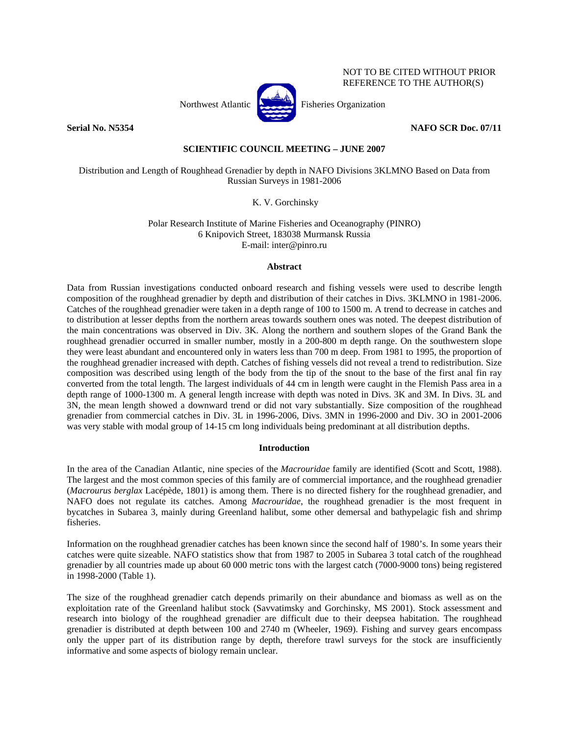

NOT TO BE CITED WITHOUT PRIOR REFERENCE TO THE AUTHOR(S)

**Serial No. N5354 NAFO SCR Doc. 07/11** 

# **SCIENTIFIC COUNCIL MEETING – JUNE 2007**

Distribution and Length of Roughhead Grenadier by depth in NAFO Divisions 3KLMNO Based on Data from Russian Surveys in 1981-2006

K. V. Gorchinsky

Polar Research Institute of Marine Fisheries and Oceanography (PINRO) 6 Knipovich Street, 183038 Murmansk Russia E-mail: inter@pinro.ru

## **Abstract**

Data from Russian investigations conducted onboard research and fishing vessels were used to describe length composition of the roughhead grenadier by depth and distribution of their catches in Divs. 3KLMNO in 1981-2006. Catches of the roughhead grenadier were taken in a depth range of 100 to 1500 m. A trend to decrease in catches and to distribution at lesser depths from the northern areas towards southern ones was noted. The deepest distribution of the main concentrations was observed in Div. 3K. Along the northern and southern slopes of the Grand Bank the roughhead grenadier occurred in smaller number, mostly in a 200-800 m depth range. On the southwestern slope they were least abundant and encountered only in waters less than 700 m deep. From 1981 to 1995, the proportion of the roughhead grenadier increased with depth. Catches of fishing vessels did not reveal a trend to redistribution. Size composition was described using length of the body from the tip of the snout to the base of the first anal fin ray converted from the total length. The largest individuals of 44 cm in length were caught in the Flemish Pass area in a depth range of 1000-1300 m. A general length increase with depth was noted in Divs. 3K and 3M. In Divs. 3L and 3N, the mean length showed a downward trend or did not vary substantially. Size composition of the roughhead grenadier from commercial catches in Div. 3L in 1996-2006, Divs. 3MN in 1996-2000 and Div. 3O in 2001-2006 was very stable with modal group of 14-15 cm long individuals being predominant at all distribution depths.

## **Introduction**

In the area of the Canadian Atlantic, nine species of the *Macrouridae* family are identified (Scott and Scott, 1988). The largest and the most common species of this family are of commercial importance, and the roughhead grenadier (*Macrourus berglax* Lacépède, 1801) is among them. There is no directed fishery for the roughhead grenadier, and NAFO does not regulate its catches. Among *Macrouridae*, the roughhead grenadier is the most frequent in bycatches in Subarea 3, mainly during Greenland halibut, some other demersal and bathypelagic fish and shrimp fisheries.

Information on the roughhead grenadier catches has been known since the second half of 1980's. In some years their catches were quite sizeable. NAFO statistics show that from 1987 to 2005 in Subarea 3 total catch of the roughhead grenadier by all countries made up about 60 000 metric tons with the largest catch (7000-9000 tons) being registered in 1998-2000 (Table 1).

The size of the roughhead grenadier catch depends primarily on their abundance and biomass as well as on the exploitation rate of the Greenland halibut stock (Savvatimsky and Gorchinsky, MS 2001). Stock assessment and research into biology of the roughhead grenadier are difficult due to their deepsea habitation. The roughhead grenadier is distributed at depth between 100 and 2740 m (Wheeler, 1969). Fishing and survey gears encompass only the upper part of its distribution range by depth, therefore trawl surveys for the stock are insufficiently informative and some aspects of biology remain unclear.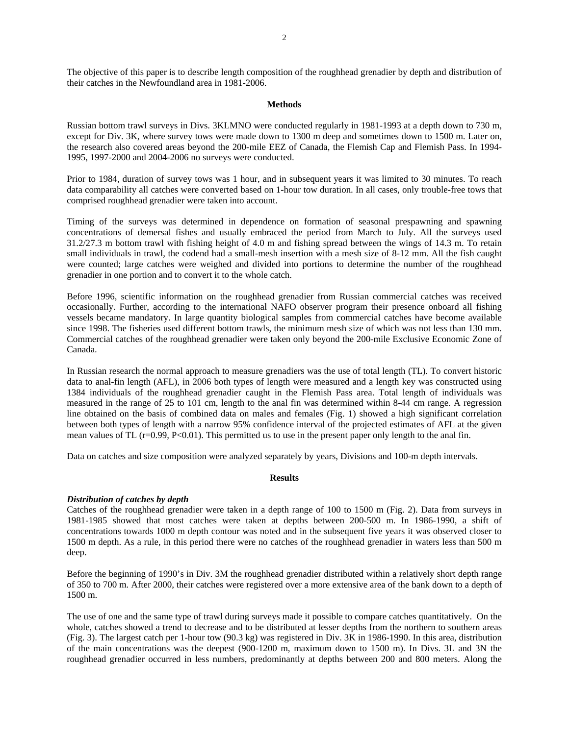The objective of this paper is to describe length composition of the roughhead grenadier by depth and distribution of their catches in the Newfoundland area in 1981-2006.

### **Methods**

Russian bottom trawl surveys in Divs. 3KLMNO were conducted regularly in 1981-1993 at a depth down to 730 m, except for Div. 3K, where survey tows were made down to 1300 m deep and sometimes down to 1500 m. Later on, the research also covered areas beyond the 200-mile EEZ of Canada, the Flemish Cap and Flemish Pass. In 1994- 1995, 1997-2000 and 2004-2006 no surveys were conducted.

Prior to 1984, duration of survey tows was 1 hour, and in subsequent years it was limited to 30 minutes. To reach data comparability all catches were converted based on 1-hour tow duration. In all cases, only trouble-free tows that comprised roughhead grenadier were taken into account.

Timing of the surveys was determined in dependence on formation of seasonal prespawning and spawning concentrations of demersal fishes and usually embraced the period from March to July. All the surveys used 31.2/27.3 m bottom trawl with fishing height of 4.0 m and fishing spread between the wings of 14.3 m. To retain small individuals in trawl, the codend had a small-mesh insertion with a mesh size of 8-12 mm. All the fish caught were counted; large catches were weighed and divided into portions to determine the number of the roughhead grenadier in one portion and to convert it to the whole catch.

Before 1996, scientific information on the roughhead grenadier from Russian commercial catches was received occasionally. Further, according to the international NAFO observer program their presence onboard all fishing vessels became mandatory. In large quantity biological samples from commercial catches have become available since 1998. The fisheries used different bottom trawls, the minimum mesh size of which was not less than 130 mm. Commercial catches of the roughhead grenadier were taken only beyond the 200-mile Exclusive Economic Zone of Canada.

In Russian research the normal approach to measure grenadiers was the use of total length (TL). To convert historic data to anal-fin length (AFL), in 2006 both types of length were measured and a length key was constructed using 1384 individuals of the roughhead grenadier caught in the Flemish Pass area. Total length of individuals was measured in the range of 25 to 101 cm, length to the anal fin was determined within 8-44 cm range. A regression line obtained on the basis of combined data on males and females (Fig. 1) showed a high significant correlation between both types of length with a narrow 95% confidence interval of the projected estimates of AFL at the given mean values of TL  $(r=0.99, P<0.01)$ . This permitted us to use in the present paper only length to the anal fin.

Data on catches and size composition were analyzed separately by years, Divisions and 100-m depth intervals.

#### **Results**

## *Distribution of catches by depth*

Catches of the roughhead grenadier were taken in a depth range of 100 to 1500 m (Fig. 2). Data from surveys in 1981-1985 showed that most catches were taken at depths between 200-500 m. In 1986-1990, a shift of concentrations towards 1000 m depth contour was noted and in the subsequent five years it was observed closer to 1500 m depth. As a rule, in this period there were no catches of the roughhead grenadier in waters less than 500 m deep.

Before the beginning of 1990's in Div. 3M the roughhead grenadier distributed within a relatively short depth range of 350 to 700 m. After 2000, their catches were registered over a more extensive area of the bank down to a depth of 1500 m.

The use of one and the same type of trawl during surveys made it possible to compare catches quantitatively. On the whole, catches showed a trend to decrease and to be distributed at lesser depths from the northern to southern areas (Fig. 3). The largest catch per 1-hour tow (90.3 kg) was registered in Div. 3K in 1986-1990. In this area, distribution of the main concentrations was the deepest (900-1200 m, maximum down to 1500 m). In Divs. 3L and 3N the roughhead grenadier occurred in less numbers, predominantly at depths between 200 and 800 meters. Along the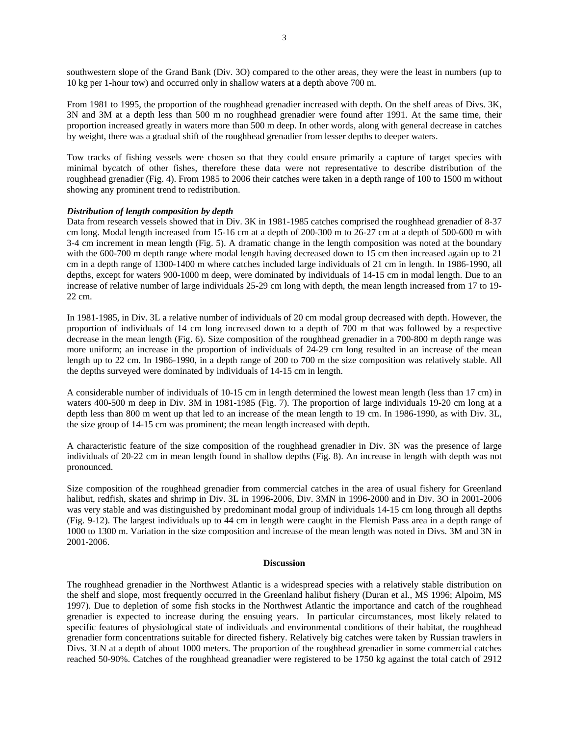southwestern slope of the Grand Bank (Div. 3O) compared to the other areas, they were the least in numbers (up to 10 kg per 1-hour tow) and occurred only in shallow waters at a depth above 700 m.

From 1981 to 1995, the proportion of the roughhead grenadier increased with depth. On the shelf areas of Divs. 3K, 3N and 3M at a depth less than 500 m no roughhead grenadier were found after 1991. At the same time, their proportion increased greatly in waters more than 500 m deep. In other words, along with general decrease in catches by weight, there was a gradual shift of the roughhead grenadier from lesser depths to deeper waters.

Tow tracks of fishing vessels were chosen so that they could ensure primarily a capture of target species with minimal bycatch of other fishes, therefore these data were not representative to describe distribution of the roughhead grenadier (Fig. 4). From 1985 to 2006 their catches were taken in a depth range of 100 to 1500 m without showing any prominent trend to redistribution.

### *Distribution of length composition by depth*

Data from research vessels showed that in Div. 3K in 1981-1985 catches comprised the roughhead grenadier of 8-37 cm long. Modal length increased from 15-16 cm at a depth of 200-300 m to 26-27 cm at a depth of 500-600 m with 3-4 cm increment in mean length (Fig. 5). A dramatic change in the length composition was noted at the boundary with the 600-700 m depth range where modal length having decreased down to 15 cm then increased again up to 21 cm in a depth range of 1300-1400 m where catches included large individuals of 21 cm in length. In 1986-1990, all depths, except for waters 900-1000 m deep, were dominated by individuals of 14-15 cm in modal length. Due to an increase of relative number of large individuals 25-29 cm long with depth, the mean length increased from 17 to 19- 22 cm.

In 1981-1985, in Div. 3L a relative number of individuals of 20 cm modal group decreased with depth. However, the proportion of individuals of 14 cm long increased down to a depth of 700 m that was followed by a respective decrease in the mean length (Fig. 6). Size composition of the roughhead grenadier in a 700-800 m depth range was more uniform; an increase in the proportion of individuals of 24-29 cm long resulted in an increase of the mean length up to 22 cm. In 1986-1990, in a depth range of 200 to 700 m the size composition was relatively stable. All the depths surveyed were dominated by individuals of 14-15 cm in length.

A considerable number of individuals of 10-15 cm in length determined the lowest mean length (less than 17 cm) in waters 400-500 m deep in Div. 3M in 1981-1985 (Fig. 7). The proportion of large individuals 19-20 cm long at a depth less than 800 m went up that led to an increase of the mean length to 19 cm. In 1986-1990, as with Div. 3L, the size group of 14-15 cm was prominent; the mean length increased with depth.

A characteristic feature of the size composition of the roughhead grenadier in Div. 3N was the presence of large individuals of 20-22 cm in mean length found in shallow depths (Fig. 8). An increase in length with depth was not pronounced.

Size composition of the roughhead grenadier from commercial catches in the area of usual fishery for Greenland halibut, redfish, skates and shrimp in Div. 3L in 1996-2006, Div. 3MN in 1996-2000 and in Div. 3O in 2001-2006 was very stable and was distinguished by predominant modal group of individuals 14-15 cm long through all depths (Fig. 9-12). The largest individuals up to 44 cm in length were caught in the Flemish Pass area in a depth range of 1000 to 1300 m. Variation in the size composition and increase of the mean length was noted in Divs. 3M and 3N in 2001-2006.

#### **Discussion**

The roughhead grenadier in the Northwest Atlantic is a widespread species with a relatively stable distribution on the shelf and slope, most frequently occurred in the Greenland halibut fishery (Duran et al., MS 1996; Alpoim, MS 1997). Due to depletion of some fish stocks in the Northwest Atlantic the importance and catch of the roughhead grenadier is expected to increase during the ensuing years. In particular circumstances, most likely related to specific features of physiological state of individuals and environmental conditions of their habitat, the roughhead grenadier form concentrations suitable for directed fishery. Relatively big catches were taken by Russian trawlers in Divs. 3LN at a depth of about 1000 meters. The proportion of the roughhead grenadier in some commercial catches reached 50-90%. Catches of the roughhead greanadier were registered to be 1750 kg against the total catch of 2912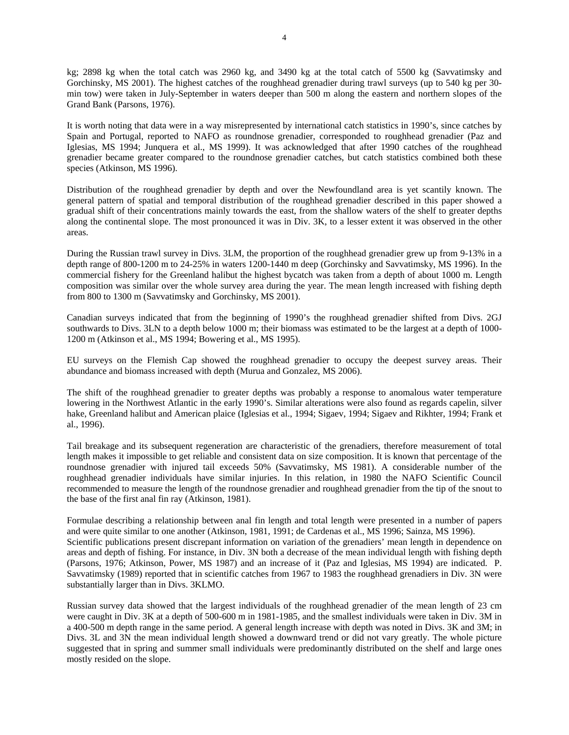kg; 2898 kg when the total catch was 2960 kg, and 3490 kg at the total catch of 5500 kg (Savvatimsky and Gorchinsky, MS 2001). The highest catches of the roughhead grenadier during trawl surveys (up to 540 kg per 30 min tow) were taken in July-September in waters deeper than 500 m along the eastern and northern slopes of the Grand Bank (Parsons, 1976).

It is worth noting that data were in a way misrepresented by international catch statistics in 1990's, since catches by Spain and Portugal, reported to NAFO as roundnose grenadier, corresponded to roughhead grenadier (Paz and Iglesias, MS 1994; Junquera et al., MS 1999). It was acknowledged that after 1990 catches of the roughhead grenadier became greater compared to the roundnose grenadier catches, but catch statistics combined both these species (Atkinson, MS 1996).

Distribution of the roughhead grenadier by depth and over the Newfoundland area is yet scantily known. The general pattern of spatial and temporal distribution of the roughhead grenadier described in this paper showed a gradual shift of their concentrations mainly towards the east, from the shallow waters of the shelf to greater depths along the continental slope. The most pronounced it was in Div. 3K, to a lesser extent it was observed in the other areas.

During the Russian trawl survey in Divs. 3LM, the proportion of the roughhead grenadier grew up from 9-13% in a depth range of 800-1200 m to 24-25% in waters 1200-1440 m deep (Gorchinsky and Savvatimsky, MS 1996). In the commercial fishery for the Greenland halibut the highest bycatch was taken from a depth of about 1000 m. Length composition was similar over the whole survey area during the year. The mean length increased with fishing depth from 800 to 1300 m (Savvatimsky and Gorchinsky, MS 2001).

Canadian surveys indicated that from the beginning of 1990's the roughhead grenadier shifted from Divs. 2GJ southwards to Divs. 3LN to a depth below 1000 m; their biomass was estimated to be the largest at a depth of 1000-1200 m (Atkinson et al., MS 1994; Bowering et al., MS 1995).

EU surveys on the Flemish Cap showed the roughhead grenadier to occupy the deepest survey areas. Their abundance and biomass increased with depth (Murua and Gonzalez, MS 2006).

The shift of the roughhead grenadier to greater depths was probably a response to anomalous water temperature lowering in the Northwest Atlantic in the early 1990's. Similar alterations were also found as regards capelin, silver hake, Greenland halibut and American plaice (Iglesias et al., 1994; Sigaev, 1994; Sigaev and Rikhter, 1994; Frank et al., 1996).

Tail breakage and its subsequent regeneration are characteristic of the grenadiers, therefore measurement of total length makes it impossible to get reliable and consistent data on size composition. It is known that percentage of the roundnose grenadier with injured tail exceeds 50% (Savvatimsky, MS 1981). A considerable number of the roughhead grenadier individuals have similar injuries. In this relation, in 1980 the NAFO Scientific Council recommended to measure the length of the roundnose grenadier and roughhead grenadier from the tip of the snout to the base of the first anal fin ray (Atkinson, 1981).

Formulae describing a relationship between anal fin length and total length were presented in a number of papers and were quite similar to one another (Atkinson, 1981, 1991; de Cardenas et al., MS 1996; Sainza, MS 1996). Scientific publications present discrepant information on variation of the grenadiers' mean length in dependence on areas and depth of fishing. For instance, in Div. 3N both a decrease of the mean individual length with fishing depth (Parsons, 1976; Atkinson, Power, MS 1987) and an increase of it (Paz and Iglesias, MS 1994) are indicated. P. Savvatimsky (1989) reported that in scientific catches from 1967 to 1983 the roughhead grenadiers in Div. 3N were substantially larger than in Divs. 3KLMO.

Russian survey data showed that the largest individuals of the roughhead grenadier of the mean length of 23 cm were caught in Div. 3K at a depth of 500-600 m in 1981-1985, and the smallest individuals were taken in Div. 3M in a 400-500 m depth range in the same period. A general length increase with depth was noted in Divs. 3K and 3M; in Divs. 3L and 3N the mean individual length showed a downward trend or did not vary greatly. The whole picture suggested that in spring and summer small individuals were predominantly distributed on the shelf and large ones mostly resided on the slope.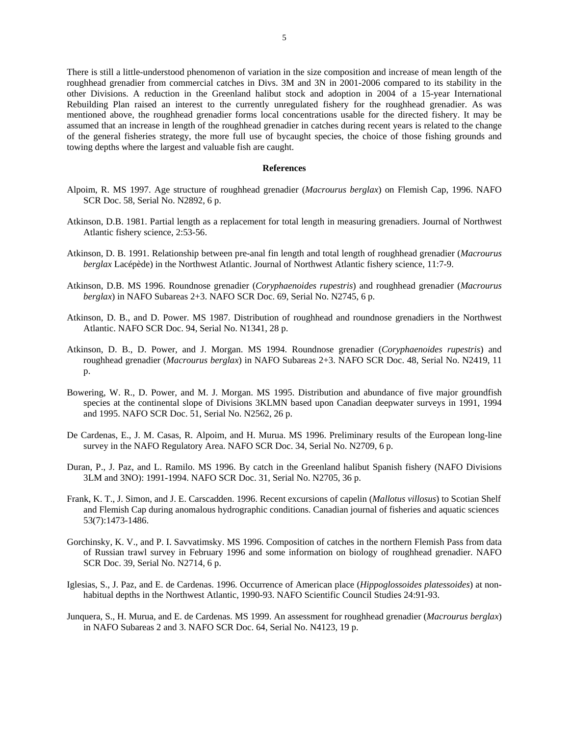There is still a little-understood phenomenon of variation in the size composition and increase of mean length of the roughhead grenadier from commercial catches in Divs. 3M and 3N in 2001-2006 compared to its stability in the other Divisions. A reduction in the Greenland halibut stock and adoption in 2004 of a 15-year International Rebuilding Plan raised an interest to the currently unregulated fishery for the roughhead grenadier. As was mentioned above, the roughhead grenadier forms local concentrations usable for the directed fishery. It may be assumed that an increase in length of the roughhead grenadier in catches during recent years is related to the change of the general fisheries strategy, the more full use of bycaught species, the choice of those fishing grounds and towing depths where the largest and valuable fish are caught.

#### **References**

- Alpoim, R. MS 1997. Age structure of roughhead grenadier (*Macrourus berglax*) on Flemish Cap, 1996. NAFO SCR Doc. 58, Serial No. N2892, 6 p.
- Atkinson, D.B. 1981. Partial length as a replacement for total length in measuring grenadiers. Journal of Northwest Atlantic fishery science, 2:53-56.
- Atkinson, D. B. 1991. Relationship between pre-anal fin length and total length of roughhead grenadier (*Macrourus berglax* Lacépède) in the Northwest Atlantic. Journal of Northwest Atlantic fishery science, 11:7-9.
- Atkinson, D.B. MS 1996. Roundnose grenadier (*Coryphaenoides rupestris*) and roughhead grenadier (*Macrourus berglax*) in NAFO Subareas 2+3. NAFO SCR Doc. 69, Serial No. N2745, 6 p.
- Atkinson, D. B., and D. Power. MS 1987. Distribution of roughhead and roundnose grenadiers in the Northwest Atlantic. NAFO SCR Doc. 94, Serial No. N1341, 28 p.
- Atkinson, D. B., D. Power, and J. Morgan. MS 1994. Roundnose grenadier (*Coryphaenoides rupestris*) and roughhead grenadier (*Macrourus berglax*) in NAFO Subareas 2+3. NAFO SCR Doc. 48, Serial No. N2419, 11 p.
- Bowering, W. R., D. Power, and M. J. Morgan. MS 1995. Distribution and abundance of five major groundfish species at the continental slope of Divisions 3KLMN based upon Canadian deepwater surveys in 1991, 1994 and 1995. NAFO SCR Doc. 51, Serial No. N2562, 26 p.
- De Cardenas, E., J. M. Casas, R. Alpoim, and H. Murua. MS 1996. Preliminary results of the European long-line survey in the NAFO Regulatory Area. NAFO SCR Doc. 34, Serial No. N2709, 6 p.
- Duran, P., J. Paz, and L. Ramilo. MS 1996. By catch in the Greenland halibut Spanish fishery (NAFO Divisions 3LM and 3NO): 1991-1994. NAFO SCR Doc. 31, Serial No. N2705, 36 p.
- Frank, K. T., J. Simon, and J. E. Carscadden. 1996. Recent excursions of capelin (*Mallotus villosus*) to Scotian Shelf and Flemish Cap during anomalous hydrographic conditions. Canadian journal of fisheries and aquatic sciences 53(7):1473-1486.
- Gorchinsky, K. V., and P. I. Savvatimsky. MS 1996. Composition of catches in the northern Flemish Pass from data of Russian trawl survey in February 1996 and some information on biology of roughhead grenadier. NAFO SCR Doc. 39, Serial No. N2714, 6 p.
- Iglesias, S., J. Paz, and E. de Cardenas. 1996. Occurrence of American place (*Hippoglossoides platessoides*) at nonhabitual depths in the Northwest Atlantic, 1990-93. NAFO Scientific Council Studies 24:91-93.
- Junquera, S., H. Murua, and E. de Cardenas. MS 1999. An assessment for roughhead grenadier (*Macrourus berglax*) in NAFO Subareas 2 and 3. NAFO SCR Doc. 64, Serial No. N4123, 19 p.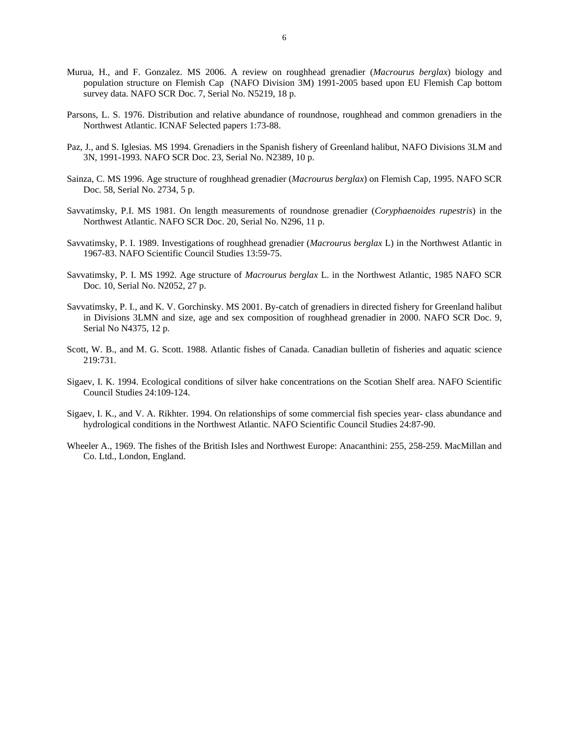- Murua, H., and F. Gonzalez. MS 2006. A review on roughhead grenadier (*Macrourus berglax*) biology and population structure on Flemish Cap (NAFO Division 3M) 1991-2005 based upon EU Flemish Cap bottom survey data. NAFO SCR Doc. 7, Serial No. N5219, 18 p.
- Parsons, L. S. 1976. Distribution and relative abundance of roundnose, roughhead and common grenadiers in the Northwest Atlantic. ICNAF Selected papers 1:73-88.
- Paz, J., and S. Iglesias. MS 1994. Grenadiers in the Spanish fishery of Greenland halibut, NAFO Divisions 3LM and 3N, 1991-1993. NAFO SCR Doc. 23, Serial No. N2389, 10 p.
- Sainza, C. MS 1996. Age structure of roughhead grenadier (*Macrourus berglax*) on Flemish Cap, 1995. NAFO SCR Doc. 58, Serial No. 2734, 5 p.
- Savvatimsky, P.I. MS 1981. On length measurements of roundnose grenadier (*Coryphaenoides rupestris*) in the Northwest Atlantic. NAFO SCR Doc. 20, Serial No. N296, 11 p.
- Savvatimsky, P. I. 1989. Investigations of roughhead grenadier (*Macrourus berglax* L) in the Northwest Atlantic in 1967-83. NAFO Scientific Council Studies 13:59-75.
- Savvatimsky, P. I. MS 1992. Age structure of *Macrourus berglax* L. in the Northwest Atlantic, 1985 NAFO SCR Doc. 10, Serial No. N2052, 27 p.
- Savvatimsky, P. I., and K. V. Gorchinsky. MS 2001. By-catch of grenadiers in directed fishery for Greenland halibut in Divisions 3LMN and size, age and sex composition of roughhead grenadier in 2000. NAFO SCR Doc. 9, Serial No N4375, 12 p.
- Scott, W. B., and M. G. Scott. 1988. Atlantic fishes of Canada. Canadian bulletin of fisheries and aquatic science 219:731.
- Sigaev, I. K. 1994. Ecological conditions of silver hake concentrations on the Scotian Shelf area. NAFO Scientific Council Studies 24:109-124.
- Sigaev, I. K., and V. A. Rikhter. 1994. On relationships of some commercial fish species year- class abundance and hydrological conditions in the Northwest Atlantic. NAFO Scientific Council Studies 24:87-90.
- Wheeler A., 1969. The fishes of the British Isles and Northwest Europe: Anacanthini: 255, 258-259. MacMillan and Co. Ltd., London, England.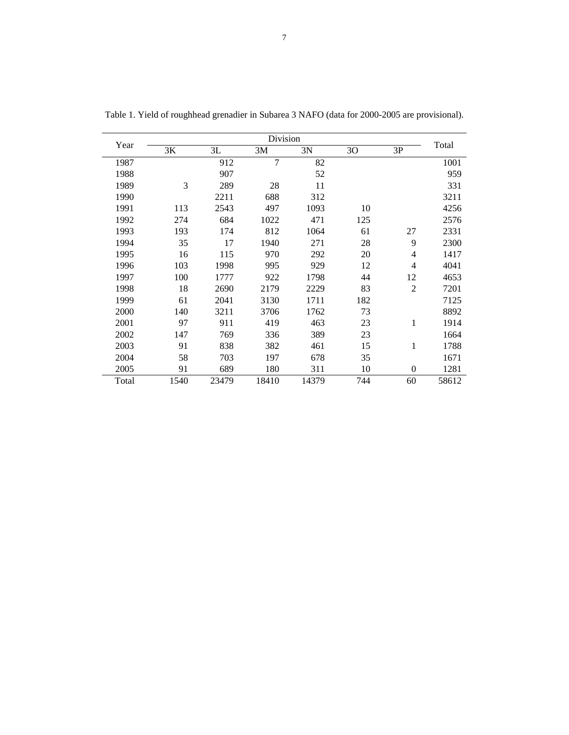| Year  | Division |       |                |       |     |                |       |
|-------|----------|-------|----------------|-------|-----|----------------|-------|
|       | 3K       | 3L    | 3M             | 3N    | 30  | 3P             | Total |
| 1987  |          | 912   | $\overline{7}$ | 82    |     |                | 1001  |
| 1988  |          | 907   |                | 52    |     |                | 959   |
| 1989  | 3        | 289   | 28             | 11    |     |                | 331   |
| 1990  |          | 2211  | 688            | 312   |     |                | 3211  |
| 1991  | 113      | 2543  | 497            | 1093  | 10  |                | 4256  |
| 1992  | 274      | 684   | 1022           | 471   | 125 |                | 2576  |
| 1993  | 193      | 174   | 812            | 1064  | 61  | 27             | 2331  |
| 1994  | 35       | 17    | 1940           | 271   | 28  | 9              | 2300  |
| 1995  | 16       | 115   | 970            | 292   | 20  | $\overline{4}$ | 1417  |
| 1996  | 103      | 1998  | 995            | 929   | 12  | $\overline{4}$ | 4041  |
| 1997  | 100      | 1777  | 922            | 1798  | 44  | 12             | 4653  |
| 1998  | 18       | 2690  | 2179           | 2229  | 83  | $\overline{2}$ | 7201  |
| 1999  | 61       | 2041  | 3130           | 1711  | 182 |                | 7125  |
| 2000  | 140      | 3211  | 3706           | 1762  | 73  |                | 8892  |
| 2001  | 97       | 911   | 419            | 463   | 23  | 1              | 1914  |
| 2002  | 147      | 769   | 336            | 389   | 23  |                | 1664  |
| 2003  | 91       | 838   | 382            | 461   | 15  | 1              | 1788  |
| 2004  | 58       | 703   | 197            | 678   | 35  |                | 1671  |
| 2005  | 91       | 689   | 180            | 311   | 10  | $\overline{0}$ | 1281  |
| Total | 1540     | 23479 | 18410          | 14379 | 744 | 60             | 58612 |

Table 1. Yield of roughhead grenadier in Subarea 3 NAFO (data for 2000-2005 are provisional).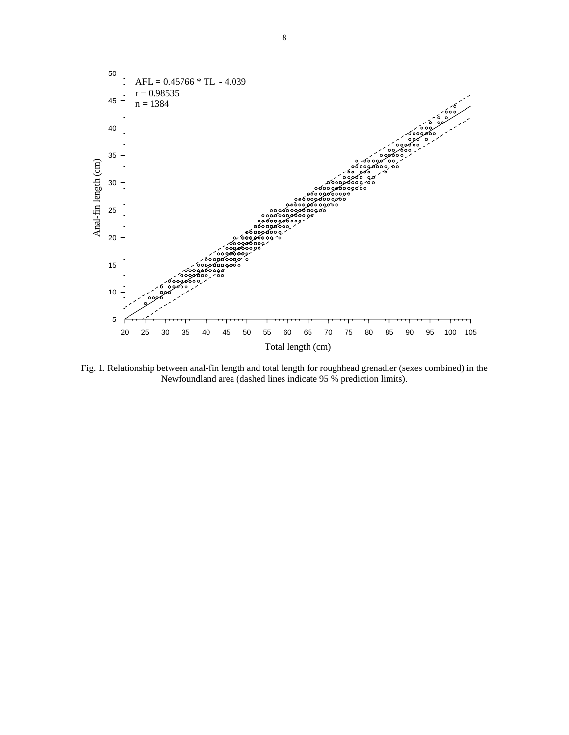

Fig. 1. Relationship between anal-fin length and total length for roughhead grenadier (sexes combined) in the Newfoundland area (dashed lines indicate 95 % prediction limits).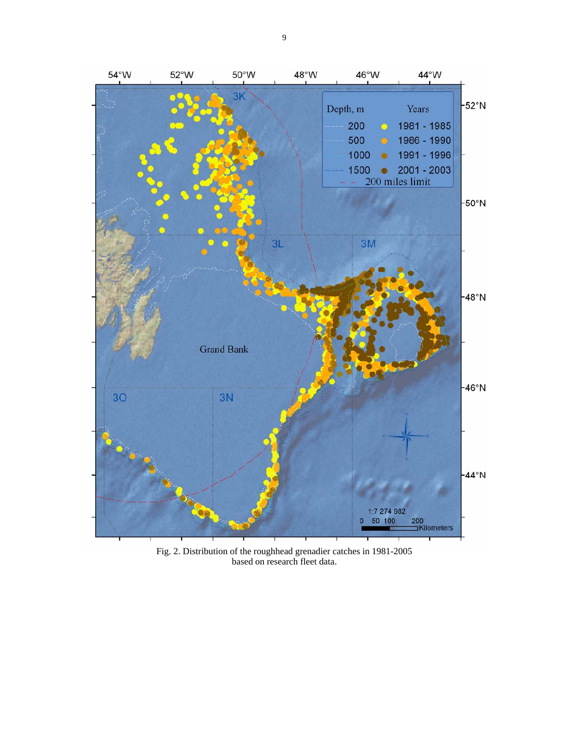

Fig. 2. Distribution of the roughhead grenadier catches in 1981-2005 based on research fleet data.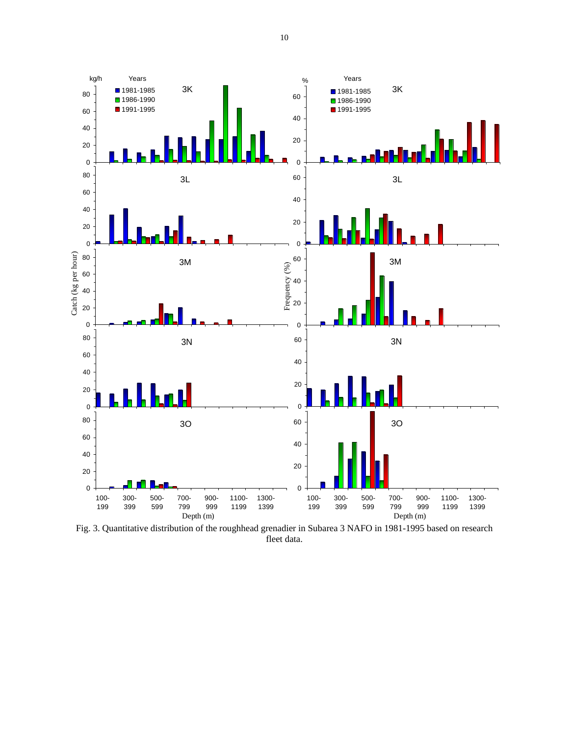

Fig. 3. Quantitative distribution of the roughhead grenadier in Subarea 3 NAFO in 1981-1995 based on research fleet data.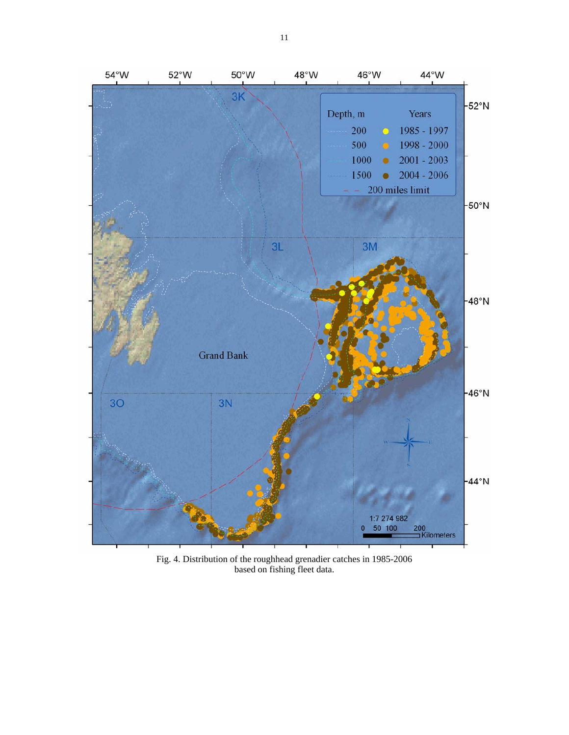

Fig. 4. Distribution of the roughhead grenadier catches in 1985-2006 based on fishing fleet data.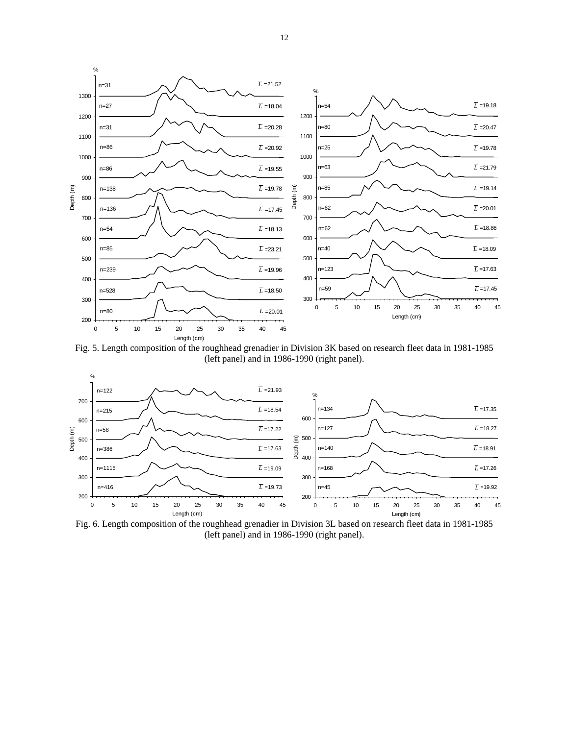

Fig. 5. Length composition of the roughhead grenadier in Division 3K based on research fleet data in 1981-1985 (left panel) and in 1986-1990 (right panel).



Fig. 6. Length composition of the roughhead grenadier in Division 3L based on research fleet data in 1981-1985 (left panel) and in 1986-1990 (right panel).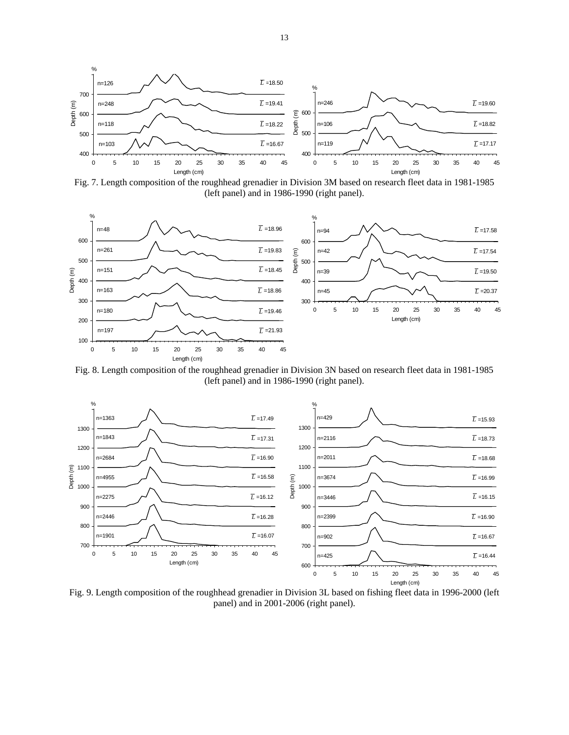

Fig. 7. Length composition of the roughhead grenadier in Division 3M based on research fleet data in 1981-1985 (left panel) and in 1986-1990 (right panel).



Fig. 8. Length composition of the roughhead grenadier in Division 3N based on research fleet data in 1981-1985 (left panel) and in 1986-1990 (right panel).



Fig. 9. Length composition of the roughhead grenadier in Division 3L based on fishing fleet data in 1996-2000 (left panel) and in 2001-2006 (right panel).